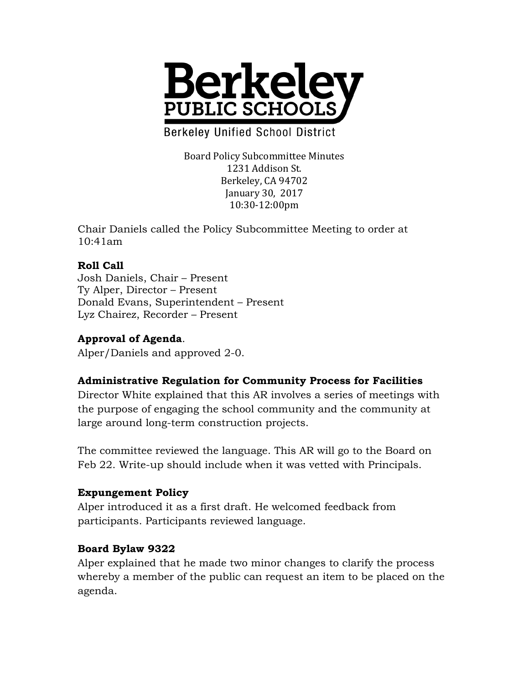

**Berkeley Unified School District** 

Board Policy Subcommittee Minutes 1231 Addison St. Berkeley, CA 94702 January 30, 2017 10:30-12:00pm

Chair Daniels called the Policy Subcommittee Meeting to order at 10:41am

## **Roll Call**

Josh Daniels, Chair – Present Ty Alper, Director – Present Donald Evans, Superintendent – Present Lyz Chairez, Recorder – Present

# **Approval of Agenda**.

Alper/Daniels and approved 2-0.

### **Administrative Regulation for Community Process for Facilities**

Director White explained that this AR involves a series of meetings with the purpose of engaging the school community and the community at large around long-term construction projects.

The committee reviewed the language. This AR will go to the Board on Feb 22. Write-up should include when it was vetted with Principals.

### **Expungement Policy**

Alper introduced it as a first draft. He welcomed feedback from participants. Participants reviewed language.

### **Board Bylaw 9322**

Alper explained that he made two minor changes to clarify the process whereby a member of the public can request an item to be placed on the agenda.